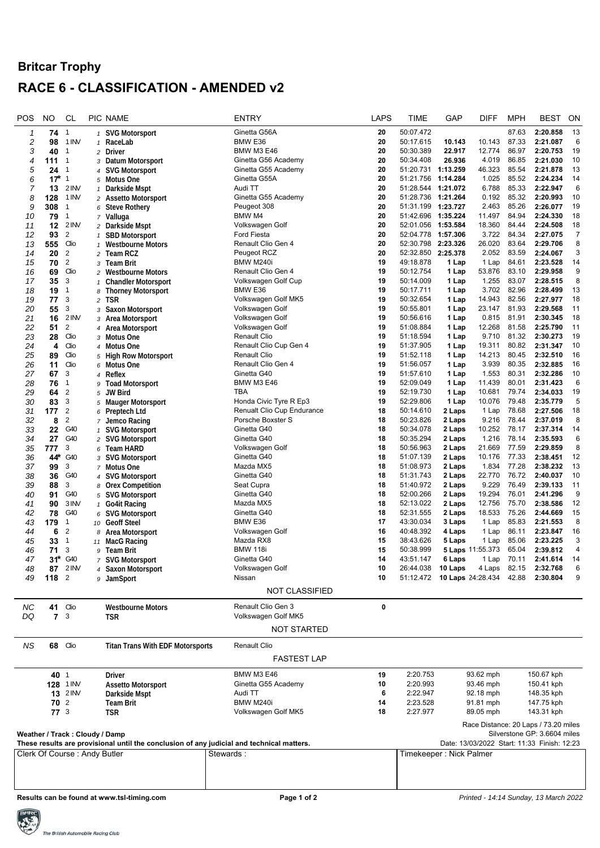## **Britcar Trophy RACE 6 - CLASSIFICATION - AMENDED v2**

| POS                                                                                       | NO               | <b>CL</b>                    |                | PIC NAME                                | <b>ENTRY</b>                    | <b>LAPS</b>                                 | TIME                                                   | GAP                  | <b>DIFF</b>                          | <b>MPH</b>     | <b>BEST</b>                       | ON       |  |
|-------------------------------------------------------------------------------------------|------------------|------------------------------|----------------|-----------------------------------------|---------------------------------|---------------------------------------------|--------------------------------------------------------|----------------------|--------------------------------------|----------------|-----------------------------------|----------|--|
| 1                                                                                         | 74               | $\mathbf{1}$                 |                | 1 SVG Motorsport                        | Ginetta G56A                    | 20                                          | 50:07.472                                              |                      |                                      | 87.63          | 2:20.858                          | 13       |  |
| 2                                                                                         | 98               | 1 INV                        | $\mathbf{1}$   | RaceLab                                 | BMW E36                         | 20                                          | 50:17.615                                              | 10.143               | 10.143                               | 87.33          | 2:21.087                          | 6        |  |
| 3                                                                                         | 40               | $\mathbf{1}$                 |                | 2 Driver                                | BMW M3 E46                      | 20                                          | 50:30.389                                              | 22.917               | 12.774                               | 86.97          | 2:20.753                          | 19       |  |
| 4                                                                                         | 111              | $\mathbf{1}$                 |                | 3 Datum Motorsport                      | Ginetta G56 Academy             | 20                                          | 50:34.408                                              | 26.936               | 4.019                                | 86.85          | 2:21.030                          | 10       |  |
| 5                                                                                         | 24               | $\mathbf{1}$                 |                | 4 SVG Motorsport                        | Ginetta G55 Academy             | 20                                          | 51:20.731 1:13.259                                     |                      | 46.323                               | 85.54          | 2:21.878                          | 13       |  |
| 6                                                                                         | $17*$            | $\mathbf{1}$                 |                | 5 Motus One                             | Ginetta G55A                    | 20                                          | 51:21.756                                              | 1:14.284             | 1.025                                | 85.52          | 2:24.234                          | 14       |  |
| 7                                                                                         | 13               | 2 INV                        | $\mathbf{1}$   | Darkside Mspt                           | Audi TT                         | 20                                          | 51:28.544 1:21.072                                     |                      | 6.788                                | 85.33          | 2:22.947                          | 6        |  |
| 8                                                                                         | 128              | 1 INV                        |                | 2 Assetto Motorsport                    | Ginetta G55 Academy             | 20                                          | 51:28.736 1:21.264                                     |                      | 0.192                                | 85.32          | 2:20.993                          | 10       |  |
| 9<br>10                                                                                   | 308<br>79        | $\mathbf{1}$<br>$\mathbf{1}$ | 6              | <b>Steve Rothery</b><br>7 Valluga       | Peugeot 308<br>BMW M4           | 20<br>20                                    | 51:31.199<br>51:42.696                                 | 1:23.727<br>1:35.224 | 2.463<br>11.497                      | 85.26<br>84.94 | 2:26.077<br>2:24.330              | 19<br>18 |  |
| 11                                                                                        | 12               | 2 INV                        |                | 2 Darkside Mspt                         | Volkswagen Golf                 | 20                                          | 52:01.056                                              | 1:53.584             | 18.360                               | 84.44          | 2:24.508                          | 18       |  |
| 12                                                                                        | 93               | $\overline{2}$               |                | 1 SBD Motorsport                        | <b>Ford Fiesta</b>              | 20                                          | 52:04.778                                              | 1:57.306             | 3.722                                | 84.34          | 2:27.075                          | 7        |  |
| 13                                                                                        | 555              | Clio                         |                | <b>Westbourne Motors</b>                | Renault Clio Gen 4              | 20                                          | 52:30.798                                              | 2:23.326             | 26.020                               | 83.64          | 2:29.706                          | 8        |  |
| 14                                                                                        | 20               | $\overline{2}$               |                | 2 Team RCZ                              | Peugeot RCZ                     | 20                                          | 52:32.850 2:25.378                                     |                      | 2.052                                | 83.59          | 2:24.067                          | 3        |  |
| 15                                                                                        | 70               | $\overline{2}$               | 3              | <b>Team Brit</b>                        | BMW M240i                       | 19                                          | 49:18.878                                              | 1 Lap                | 1 Lap                                | 84.61          | 2:23.528                          | 14       |  |
| 16                                                                                        | 69               | Clio                         |                | 2 Westbourne Motors                     | Renault Clio Gen 4              | 19                                          | 50:12.754                                              | 1 Lap                | 53.876                               | 83.10          | 2:29.958                          | 9        |  |
| 17                                                                                        | 35               | 3                            | $\mathbf{1}$   | <b>Chandler Motorsport</b>              | Volkswagen Golf Cup             | 19                                          | 50:14.009                                              | 1 Lap                | 1.255                                | 83.07          | 2:28.515                          | 8        |  |
| 18                                                                                        | 19               | 1                            | 8              | <b>Thorney Motorsport</b>               | BMW E36                         | 19                                          | 50:17.711                                              | 1 Lap                | 3.702                                | 82.96          | 2:28.499                          | 13       |  |
| 19                                                                                        | 77               | 3                            | $\overline{a}$ | tsr                                     | Volkswagen Golf MK5             | 19                                          | 50:32.654                                              | 1 Lap                | 14.943                               | 82.56          | 2:27.977                          | 18       |  |
| 20                                                                                        | 55               | 3                            | 3              | Saxon Motorsport                        | Volkswagen Golf                 | 19                                          | 50:55.801                                              | 1 Lap                | 23.147                               | 81.93          | 2:29.568                          | 11       |  |
| 21                                                                                        | 16               | 2 INV<br>$\overline{2}$      |                | 3 Area Motorsport                       | Volkswagen Golf                 | 19<br>19                                    | 50:56.616<br>51:08.884                                 | 1 Lap                | 0.815<br>12.268                      | 81.91<br>81.58 | 2:30.345<br>2:25.790              | 18<br>11 |  |
| 22<br>23                                                                                  | 51<br>28         | Clio                         |                | 4 Area Motorsport<br>3 Motus One        | Volkswagen Golf<br>Renault Clio | 19                                          | 51:18.594                                              | 1 Lap<br>1 Lap       | 9.710                                | 81.32          | 2:30.273                          | 19       |  |
| 24                                                                                        | 4                | Clio                         |                | 4 Motus One                             | Renault Clio Cup Gen 4          | 19                                          | 51:37.905                                              | 1 Lap                | 19.311                               | 80.82          | 2:31.347                          | 10       |  |
| 25                                                                                        | 89               | Clio                         |                | 5 High Row Motorsport                   | Renault Clio                    | 19                                          | 51:52.118                                              | 1 Lap                | 14.213                               | 80.45          | 2:32.510                          | 16       |  |
| 26                                                                                        | 11               | Clio                         |                | 6 Motus One                             | Renault Clio Gen 4              | 19                                          | 51:56.057                                              | 1 Lap                | 3.939                                | 80.35          | 2:32.885                          | 16       |  |
| 27                                                                                        | 67               | 3                            |                | 4 Reflex                                | Ginetta G40                     | 19                                          | 51:57.610                                              | 1 Lap                | 1.553                                | 80.31          | 2:32.286                          | 10       |  |
| 28                                                                                        | 76               | 1                            | 9              | <b>Toad Motorsport</b>                  | BMW M3 E46                      | 19                                          | 52:09.049                                              | 1 Lap                | 11.439                               | 80.01          | 2:31.423                          | 6        |  |
| 29                                                                                        | 64               | $\overline{2}$               | 5              | JW Bird                                 | TBA                             | 19                                          | 52:19.730                                              | 1 Lap                | 10.681                               | 79.74          | 2:34.033                          | 19       |  |
| 30                                                                                        | 83               | 3                            |                | 5 Mauger Motorsport                     | Honda Civic Tyre R Ep3          | 19                                          | 52:29.806                                              | 1 Lap                | 10.076                               | 79.48          | 2:35.779                          | 5        |  |
| 31                                                                                        | 177              | $\overline{2}$               |                | 6 Preptech Ltd                          | Renualt Clio Cup Endurance      | 18                                          | 50:14.610                                              | 2 Laps               | 1 Lap                                | 78.68          | 2:27.506                          | 18       |  |
| 32                                                                                        | 8                | $\overline{2}$               |                | 7 Jemco Racing                          | Porsche Boxster S               | 18                                          | 50:23.826                                              | 2 Laps               | 9.216                                | 78.44          | 2:37.019                          | 8        |  |
| 33                                                                                        | 22               | G40                          | $\mathbf{1}$   | <b>SVG Motorsport</b>                   | Ginetta G40                     | 18                                          | 50:34.078                                              | 2 Laps               | 10.252                               | 78.17          | 2:37.314                          | 14       |  |
| 34                                                                                        | 27               | G40<br>3                     |                | 2 SVG Motorsport                        | Ginetta G40                     | 18<br>18                                    | 50:35.294<br>50:56.963                                 | 2 Laps<br>2 Laps     | 1.216<br>21.669                      | 78.14<br>77.59 | 2:35.593<br>2:29.859              | 6<br>8   |  |
| 35<br>36                                                                                  | 777<br>44*       | G40                          | 6              | Team HARD                               | Volkswagen Golf<br>Ginetta G40  | 18                                          | 51:07.139                                              | 2 Laps               | 10.176                               | 77.33          | 2:38.451                          | 12       |  |
| 37                                                                                        | 99               | 3                            |                | 3 SVG Motorsport<br>7 Motus One         | Mazda MX5                       | 18                                          | 51:08.973                                              | 2 Laps               | 1.834                                | 77.28          | 2:38.232                          | 13       |  |
| 38                                                                                        | 36               | G40                          |                | 4 SVG Motorsport                        | Ginetta G40                     | 18                                          | 51:31.743                                              | 2 Laps               | 22.770                               | 76.72          | 2:40.037                          | 10       |  |
| 39                                                                                        | 88               | 3                            |                | 8 Orex Competition                      | Seat Cupra                      | 18                                          | 51:40.972                                              | 2 Laps               | 9.229                                | 76.49          | 2:39.133                          | 11       |  |
| 40                                                                                        | 91               | G40                          |                | 5 SVG Motorsport                        | Ginetta G40                     | 18                                          | 52:00.266                                              | 2 Laps               | 19.294                               | 76.01          | 2:41.296                          | 9        |  |
| 41                                                                                        | 90               | 3 INV                        | $\mathbf{1}$   | <b>Go4it Racing</b>                     | Mazda MX5                       | 18                                          | 52:13.022                                              | 2 Laps               | 12.756                               | 75.70          | 2:38.586                          | 12       |  |
| 42                                                                                        | 78               | G40                          |                | 6 SVG Motorsport                        | Ginetta G40                     | 18                                          | 52:31.555                                              | 2 Laps               | 18.533                               | 75.26          | 2:44.669                          | 15       |  |
| 43                                                                                        | 179              | 1                            |                | 10 Geoff Steel                          | BMW E36                         | 17                                          | 43:30.034                                              | 3 Laps               | 1 Lap                                | 85.83          | 2:21.553                          | 8        |  |
| 44                                                                                        | 6                | $\overline{2}$               |                | 8 Area Motorsport                       | Volkswagen Golf                 | 16                                          | 40:48.392                                              | 4 Laps               | 1 Lap                                | 86.11          | 2:23.847                          | 16       |  |
| 45                                                                                        | 33               | 1                            |                | 11 MacG Racing                          | Mazda RX8                       | 15                                          | 38:43.626                                              | 5 Laps               | 1 Lap                                | 85.06          | 2:23.225                          | 3        |  |
| 46                                                                                        | 71               | 3                            | 9              | Team Brit                               | <b>BMW 118i</b>                 | 15                                          | 50:38.999                                              |                      | 5 Laps 11:55.373                     | 65.04          | 2:39.812                          | 4        |  |
| 47                                                                                        | 31*              | G40                          |                | 7 SVG Motorsport                        | Ginetta G40                     | 14                                          | 43:51.147                                              | 6 Laps               | 1 Lap                                | 70.11          | 2:41.614                          | 14       |  |
| 48<br>49                                                                                  | 118 <sup>2</sup> | 87 2 INV                     |                | 4 Saxon Motorsport                      | Volkswagen Golf<br>Nissan       | 10<br>10                                    | 26:44.038 10 Laps<br>51:12.472 10 Laps 24:28.434 42.88 |                      |                                      |                | 4 Laps 82.15 2:32.768<br>2:30.804 | 6<br>9   |  |
|                                                                                           |                  |                              |                | 9 JamSport                              |                                 |                                             |                                                        |                      |                                      |                |                                   |          |  |
|                                                                                           |                  |                              |                |                                         | <b>NOT CLASSIFIED</b>           |                                             |                                                        |                      |                                      |                |                                   |          |  |
| <b>NC</b>                                                                                 | 41               | Clio                         |                | <b>Westbourne Motors</b>                | Renault Clio Gen 3              | $\pmb{0}$                                   |                                                        |                      |                                      |                |                                   |          |  |
| DQ                                                                                        | $\overline{7}$   | 3                            |                | <b>TSR</b>                              | Volkswagen Golf MK5             |                                             |                                                        |                      |                                      |                |                                   |          |  |
|                                                                                           |                  |                              |                |                                         | <b>NOT STARTED</b>              |                                             |                                                        |                      |                                      |                |                                   |          |  |
|                                                                                           |                  |                              |                |                                         |                                 |                                             |                                                        |                      |                                      |                |                                   |          |  |
| <b>NS</b>                                                                                 |                  | 68 Clio                      |                | <b>Titan Trans With EDF Motorsports</b> | Renault Clio                    |                                             |                                                        |                      |                                      |                |                                   |          |  |
|                                                                                           |                  |                              |                |                                         | <b>FASTEST LAP</b>              |                                             |                                                        |                      |                                      |                |                                   |          |  |
|                                                                                           |                  |                              |                |                                         |                                 |                                             |                                                        |                      |                                      |                |                                   |          |  |
|                                                                                           | 40 1             |                              |                | Driver                                  | <b>BMW M3 E46</b>               | 19                                          | 2:20.753                                               |                      | 93.62 mph                            |                | 150.67 kph                        |          |  |
|                                                                                           |                  | 128 1 INV                    |                | <b>Assetto Motorsport</b>               | Ginetta G55 Academy             | 10                                          | 2:20.993                                               |                      | 93.46 mph                            |                | 150.41 kph                        |          |  |
|                                                                                           |                  | <b>13</b> 2 INV              |                | Darkside Mspt                           | Audi TT                         | 6                                           | 2:22.947                                               |                      | 92.18 mph                            |                | 148.35 kph                        |          |  |
|                                                                                           | 70 2             |                              |                | <b>Team Brit</b>                        | BMW M240i                       | 14                                          | 2:23.528                                               |                      | 91.81 mph                            |                | 147.75 kph                        |          |  |
|                                                                                           | $77^{3}$         |                              |                | <b>TSR</b>                              | Volkswagen Golf MK5             | 18                                          | 2:27.977                                               |                      | 89.05 mph                            |                | 143.31 kph                        |          |  |
|                                                                                           |                  |                              |                |                                         |                                 |                                             |                                                        |                      | Race Distance: 20 Laps / 73.20 miles |                |                                   |          |  |
| Weather / Track: Cloudy / Damp                                                            |                  |                              |                |                                         |                                 |                                             | Silverstone GP: 3.6604 miles                           |                      |                                      |                |                                   |          |  |
| These results are provisional until the conclusion of any judicial and technical matters. |                  |                              |                |                                         |                                 | Date: 13/03/2022 Start: 11:33 Finish: 12:23 |                                                        |                      |                                      |                |                                   |          |  |
| Clerk Of Course: Andy Butler<br>Stewards :                                                |                  |                              |                |                                         |                                 | Timekeeper : Nick Palmer                    |                                                        |                      |                                      |                |                                   |          |  |
|                                                                                           |                  |                              |                |                                         |                                 |                                             |                                                        |                      |                                      |                |                                   |          |  |
|                                                                                           |                  |                              |                |                                         |                                 |                                             |                                                        |                      |                                      |                |                                   |          |  |
|                                                                                           |                  |                              |                |                                         |                                 |                                             |                                                        |                      |                                      |                |                                   |          |  |